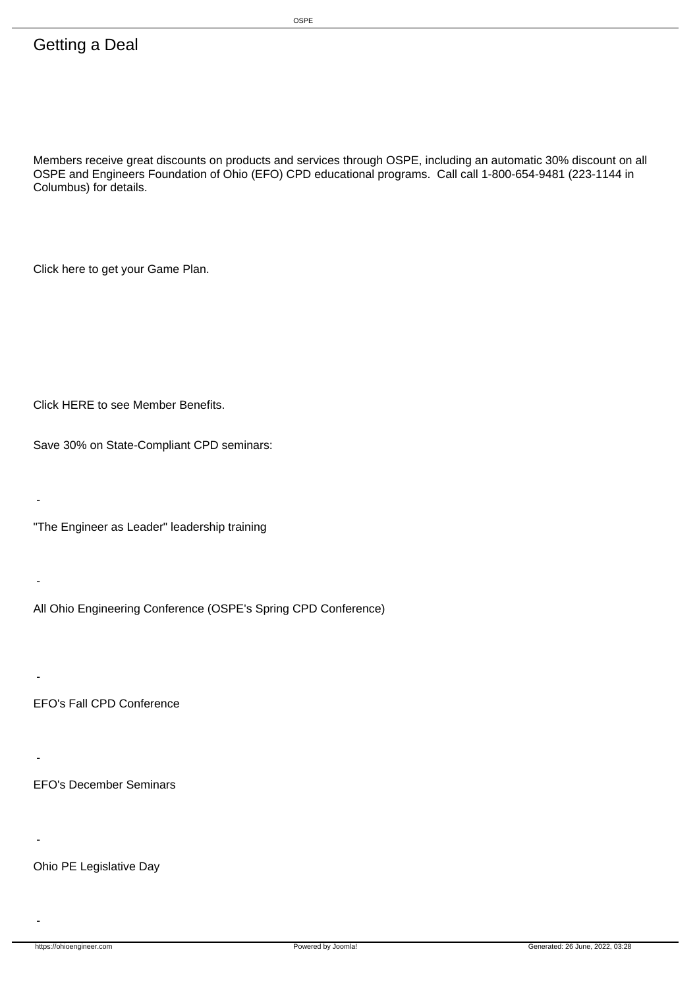## Getting a Deal

Members receive great discounts on products and services through OSPE, including an automatic 30% discount on all OSPE and Engineers Foundation of Ohio (EFO) CPD educational programs. Call call 1-800-654-9481 (223-1144 in Columbus) for details.

Click here to get your Game Plan.

Click HERE to see Member Benefits.

Save 30% on State-Compliant CPD seminars:

 "The Engineer as Leader" leadership training

 All Ohio Engineering Conference (OSPE's Spring CPD Conference)

-

-

-

-

-

 EFO's Fall CPD Conference

 EFO's December Seminars

 - Ohio PE Legislative Day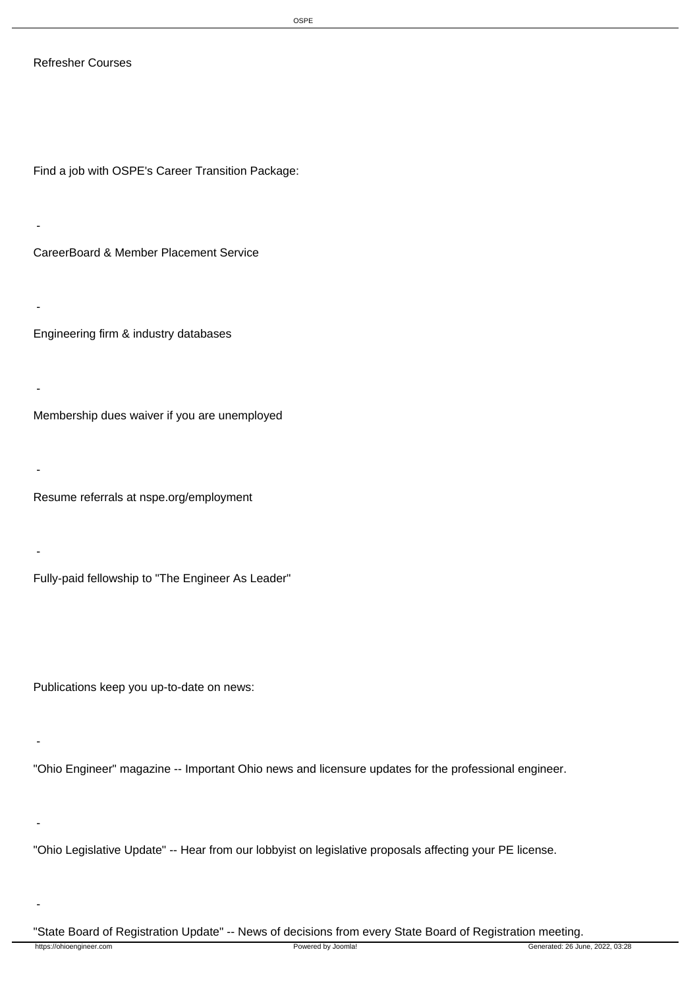## Refresher Courses

-

-

-

-

-

-

-

Find a job with OSPE's Career Transition Package:

 - CareerBoard & Member Placement Service

 Engineering firm & industry databases

 Membership dues waiver if you are unemployed

 Resume referrals at nspe.org/employment

 Fully-paid fellowship to "The Engineer As Leader"

Publications keep you up-to-date on news:

 "Ohio Engineer" magazine -- Important Ohio news and licensure updates for the professional engineer.

 "Ohio Legislative Update" -- Hear from our lobbyist on legislative proposals affecting your PE license.

 "State Board of Registration Update" -- News of decisions from every State Board of Registration meeting.